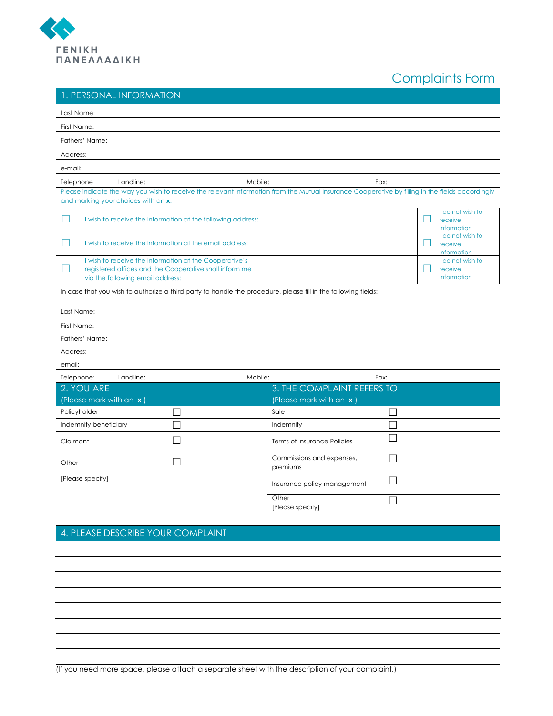

## Complaints Form

## 1. PERSONAL INFORMATION

| Last Name:                                                                                                                                           |                                                                                                                                                                                        |         |                                                       |      |                                                  |
|------------------------------------------------------------------------------------------------------------------------------------------------------|----------------------------------------------------------------------------------------------------------------------------------------------------------------------------------------|---------|-------------------------------------------------------|------|--------------------------------------------------|
| First Name:                                                                                                                                          |                                                                                                                                                                                        |         |                                                       |      |                                                  |
| Fathers' Name:                                                                                                                                       |                                                                                                                                                                                        |         |                                                       |      |                                                  |
| Address:                                                                                                                                             |                                                                                                                                                                                        |         |                                                       |      |                                                  |
| e-mail:                                                                                                                                              |                                                                                                                                                                                        |         |                                                       |      |                                                  |
| Telephone                                                                                                                                            | Landline:                                                                                                                                                                              | Mobile: |                                                       | Fax: |                                                  |
|                                                                                                                                                      | Please indicate the way you wish to receive the relevant information from the Mutual Insurance Cooperative by filling in the fields accordingly<br>and marking your choices with an x: |         |                                                       |      |                                                  |
| - 1<br>I wish to receive the information at the following address:                                                                                   |                                                                                                                                                                                        |         |                                                       |      | I do not wish to<br>receive<br>information       |
| I wish to receive the information at the email address:<br>a l                                                                                       |                                                                                                                                                                                        |         |                                                       |      | I do not wish to<br>×.<br>receive<br>information |
| I wish to receive the information at the Cooperative's<br>registered offices and the Cooperative shall inform me<br>via the following email address: |                                                                                                                                                                                        |         |                                                       |      | I do not wish to<br>receive<br>information       |
|                                                                                                                                                      | In case that you wish to authorize a third party to handle the procedure, please fill in the following fields:                                                                         |         |                                                       |      |                                                  |
| Last Name:                                                                                                                                           |                                                                                                                                                                                        |         |                                                       |      |                                                  |
| First Name:                                                                                                                                          |                                                                                                                                                                                        |         |                                                       |      |                                                  |
| Fathers' Name:                                                                                                                                       |                                                                                                                                                                                        |         |                                                       |      |                                                  |
| Address:                                                                                                                                             |                                                                                                                                                                                        |         |                                                       |      |                                                  |
| email:                                                                                                                                               |                                                                                                                                                                                        |         |                                                       |      |                                                  |
| Telephone:                                                                                                                                           | Landline:                                                                                                                                                                              | Mobile: |                                                       | Fax: |                                                  |
| 2. YOU ARE<br>(Please mark with an x)                                                                                                                |                                                                                                                                                                                        |         | 3. THE COMPLAINT REFERS TO<br>(Please mark with an x) |      |                                                  |
| Policyholder                                                                                                                                         |                                                                                                                                                                                        |         | Sale                                                  |      |                                                  |
| Indemnity beneficiary                                                                                                                                |                                                                                                                                                                                        |         | Indemnity                                             |      |                                                  |
| Claimant                                                                                                                                             |                                                                                                                                                                                        |         | Terms of Insurance Policies                           |      |                                                  |
| Other                                                                                                                                                |                                                                                                                                                                                        |         | Commissions and expenses,<br>premiums                 |      |                                                  |
| [Please specify]                                                                                                                                     |                                                                                                                                                                                        |         | Insurance policy management                           |      |                                                  |
|                                                                                                                                                      |                                                                                                                                                                                        |         | Other<br>[Please specify]                             |      |                                                  |

## 4. PLEASE DESCRIBE YOUR COMPLAINT

(If you need more space, please attach a separate sheet with the description of your complaint.)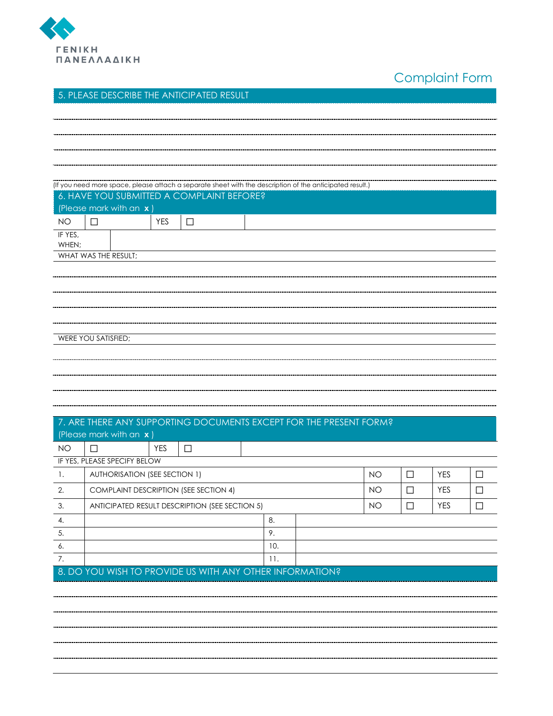

Complaint Form

## 5. PLEASE DESCRIBE THE ANTICIPATED RESULT

|                                                          | (If you need more space, please attach a separate sheet with the description of the anticipated result.)<br>6. HAVE YOU SUBMITTED A COMPLAINT BEFORE? |            |        |     |     |           |        |            |        |     |        |
|----------------------------------------------------------|-------------------------------------------------------------------------------------------------------------------------------------------------------|------------|--------|-----|-----|-----------|--------|------------|--------|-----|--------|
|                                                          | (Please mark with an x)                                                                                                                               |            |        |     |     |           |        |            |        |     |        |
| <b>NO</b>                                                | $\Box$                                                                                                                                                | <b>YES</b> | $\Box$ |     |     |           |        |            |        |     |        |
| IF YES,                                                  |                                                                                                                                                       |            |        |     |     |           |        |            |        |     |        |
| WHEN;                                                    |                                                                                                                                                       |            |        |     |     |           |        |            |        |     |        |
|                                                          | WHAT WAS THE RESULT;                                                                                                                                  |            |        |     |     |           |        |            |        |     |        |
|                                                          |                                                                                                                                                       |            |        |     |     |           |        |            |        |     |        |
|                                                          |                                                                                                                                                       |            |        |     |     |           |        |            |        |     |        |
|                                                          |                                                                                                                                                       |            |        |     |     |           |        |            |        |     |        |
|                                                          |                                                                                                                                                       |            |        |     |     |           |        |            |        |     |        |
|                                                          |                                                                                                                                                       |            |        |     |     |           |        |            |        |     |        |
|                                                          | WERE YOU SATISFIED;                                                                                                                                   |            |        |     |     |           |        |            |        |     |        |
|                                                          |                                                                                                                                                       |            |        |     |     |           |        |            |        |     |        |
|                                                          |                                                                                                                                                       |            |        |     |     |           |        |            |        |     |        |
|                                                          |                                                                                                                                                       |            |        |     |     |           |        |            |        |     |        |
|                                                          |                                                                                                                                                       |            |        |     |     |           |        |            |        |     |        |
|                                                          |                                                                                                                                                       |            |        |     |     |           |        |            |        |     |        |
|                                                          | 7. ARE THERE ANY SUPPORTING DOCUMENTS EXCEPT FOR THE PRESENT FORM?<br>(Please mark with an x)                                                         |            |        |     |     |           |        |            |        |     |        |
| <b>NO</b>                                                | $\Box$                                                                                                                                                | <b>YES</b> | $\Box$ |     |     |           |        |            |        |     |        |
|                                                          | IF YES, PLEASE SPECIFY BELOW                                                                                                                          |            |        |     |     |           |        |            |        |     |        |
| $\overline{1}$ .                                         | <b>AUTHORISATION (SEE SECTION 1)</b>                                                                                                                  |            |        |     |     |           |        | <b>NO</b>  | $\Box$ | YES | $\Box$ |
| 2.                                                       | <b>COMPLAINT DESCRIPTION (SEE SECTION 4)</b>                                                                                                          |            |        |     |     | <b>NO</b> | $\Box$ | <b>YES</b> | $\Box$ |     |        |
| 3.                                                       | ANTICIPATED RESULT DESCRIPTION (SEE SECTION 5)                                                                                                        |            |        |     |     | <b>NO</b> | $\Box$ | <b>YES</b> | $\Box$ |     |        |
| 4.                                                       | 8.                                                                                                                                                    |            |        |     |     |           |        |            |        |     |        |
| 5.                                                       |                                                                                                                                                       |            |        |     | 9.  |           |        |            |        |     |        |
| 6.                                                       |                                                                                                                                                       |            |        |     | 10. |           |        |            |        |     |        |
| 7.                                                       |                                                                                                                                                       |            |        | 11. |     |           |        |            |        |     |        |
| 8. DO YOU WISH TO PROVIDE US WITH ANY OTHER INFORMATION? |                                                                                                                                                       |            |        |     |     |           |        |            |        |     |        |
|                                                          |                                                                                                                                                       |            |        |     |     |           |        |            |        |     |        |
|                                                          |                                                                                                                                                       |            |        |     |     |           |        |            |        |     |        |
|                                                          |                                                                                                                                                       |            |        |     |     |           |        |            |        |     |        |
|                                                          |                                                                                                                                                       |            |        |     |     |           |        |            |        |     |        |